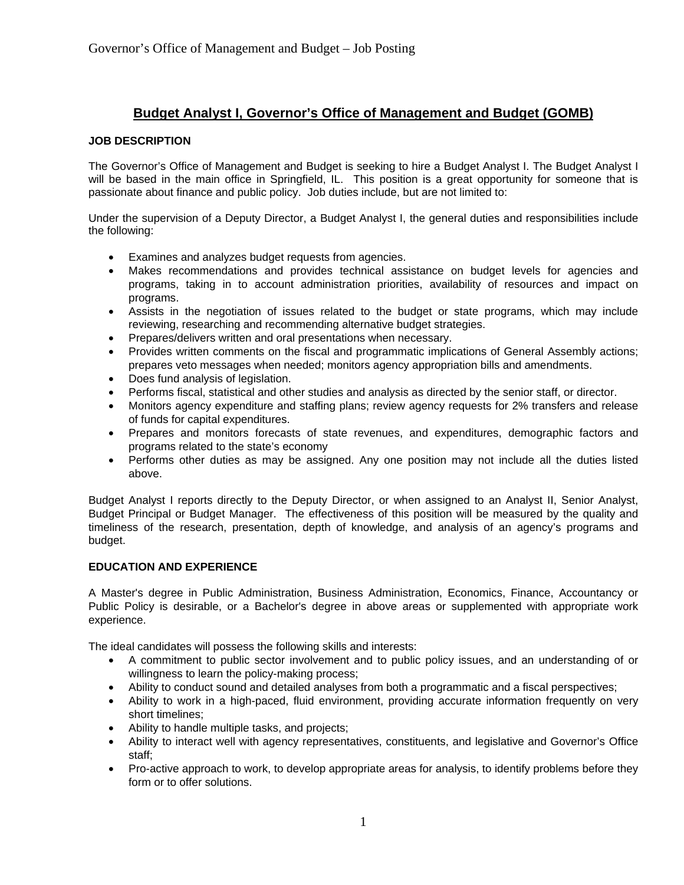# **Budget Analyst I, Governor's Office of Management and Budget (GOMB)**

# **JOB DESCRIPTION**

The Governor's Office of Management and Budget is seeking to hire a Budget Analyst I. The Budget Analyst I will be based in the main office in Springfield, IL. This position is a great opportunity for someone that is passionate about finance and public policy. Job duties include, but are not limited to:

Under the supervision of a Deputy Director, a Budget Analyst I, the general duties and responsibilities include the following:

- Examines and analyzes budget requests from agencies.
- Makes recommendations and provides technical assistance on budget levels for agencies and programs, taking in to account administration priorities, availability of resources and impact on programs.
- Assists in the negotiation of issues related to the budget or state programs, which may include reviewing, researching and recommending alternative budget strategies.
- Prepares/delivers written and oral presentations when necessary.
- Provides written comments on the fiscal and programmatic implications of General Assembly actions; prepares veto messages when needed; monitors agency appropriation bills and amendments.
- Does fund analysis of legislation.
- Performs fiscal, statistical and other studies and analysis as directed by the senior staff, or director.
- Monitors agency expenditure and staffing plans; review agency requests for 2% transfers and release of funds for capital expenditures.
- Prepares and monitors forecasts of state revenues, and expenditures, demographic factors and programs related to the state's economy
- Performs other duties as may be assigned. Any one position may not include all the duties listed above.

Budget Analyst I reports directly to the Deputy Director, or when assigned to an Analyst II, Senior Analyst, Budget Principal or Budget Manager. The effectiveness of this position will be measured by the quality and timeliness of the research, presentation, depth of knowledge, and analysis of an agency's programs and budget.

## **EDUCATION AND EXPERIENCE**

A Master's degree in Public Administration, Business Administration, Economics, Finance, Accountancy or Public Policy is desirable, or a Bachelor's degree in above areas or supplemented with appropriate work experience.

The ideal candidates will possess the following skills and interests:

- A commitment to public sector involvement and to public policy issues, and an understanding of or willingness to learn the policy-making process;
- Ability to conduct sound and detailed analyses from both a programmatic and a fiscal perspectives;
- Ability to work in a high-paced, fluid environment, providing accurate information frequently on very short timelines;
- Ability to handle multiple tasks, and projects;
- Ability to interact well with agency representatives, constituents, and legislative and Governor's Office staff;
- Pro-active approach to work, to develop appropriate areas for analysis, to identify problems before they form or to offer solutions.